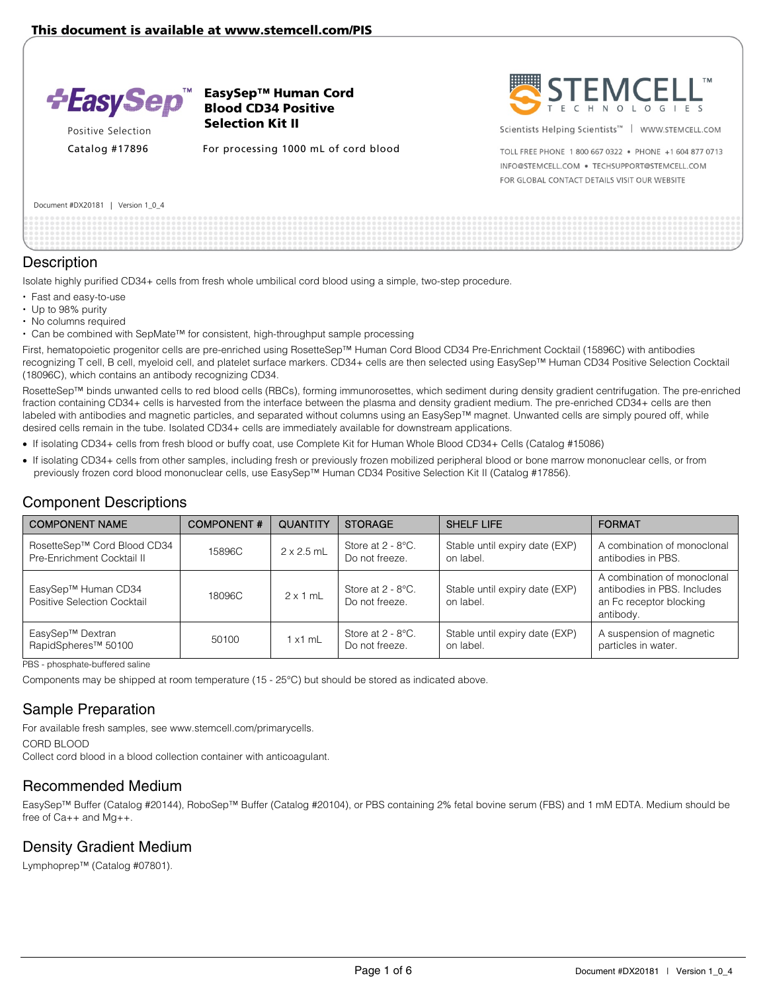

Positive Selection

EasySep™ Human Cord Blood CD34 Positive Selection Kit II

Catalog #17896 For processing 1000 mL of cord blood



Scientists Helping Scientists<sup>™</sup> | WWW.STEMCELL.COM

TOLL FREE PHONE 1 800 667 0322 . PHONE +1 604 877 0713 INFO@STEMCELL.COM . TECHSUPPORT@STEMCELL.COM FOR GLOBAL CONTACT DETAILS VISIT OUR WEBSITE

| Document #DX20181 |  | Version 1_0_4 |  |  |  |
|-------------------|--|---------------|--|--|--|
|-------------------|--|---------------|--|--|--|

### **Description**

Isolate highly purified CD34+ cells from fresh whole umbilical cord blood using a simple, two-step procedure.

- Fast and easy-to-use
- Up to 98% purity
- No columns required
- Can be combined with SepMate™ for consistent, high-throughput sample processing

First, hematopoietic progenitor cells are pre-enriched using RosetteSep™ Human Cord Blood CD34 Pre-Enrichment Cocktail (15896C) with antibodies recognizing T cell, B cell, myeloid cell, and platelet surface markers. CD34+ cells are then selected using EasySep™ Human CD34 Positive Selection Cocktail (18096C), which contains an antibody recognizing CD34.

RosetteSep™ binds unwanted cells to red blood cells (RBCs), forming immunorosettes, which sediment during density gradient centrifugation. The pre-enriched fraction containing CD34+ cells is harvested from the interface between the plasma and density gradient medium. The pre-enriched CD34+ cells are then labeled with antibodies and magnetic particles, and separated without columns using an EasySep™ magnet. Unwanted cells are simply poured off, while desired cells remain in the tube. Isolated CD34+ cells are immediately available for downstream applications.

- If isolating CD34+ cells from fresh blood or buffy coat, use Complete Kit for Human Whole Blood CD34+ Cells (Catalog #15086)
- If isolating CD34+ cells from other samples, including fresh or previously frozen mobilized peripheral blood or bone marrow mononuclear cells, or from previously frozen cord blood mononuclear cells, use EasySep™ Human CD34 Positive Selection Kit II (Catalog #17856).

## Component Descriptions

| <b>COMPONENT NAME</b>                                     | <b>COMPONENT#</b> | <b>QUANTITY</b>   | <b>STORAGE</b>                         | <b>SHELF LIFE</b>                           | <b>FORMAT</b>                                                                                      |
|-----------------------------------------------------------|-------------------|-------------------|----------------------------------------|---------------------------------------------|----------------------------------------------------------------------------------------------------|
| RosetteSep™ Cord Blood CD34<br>Pre-Enrichment Cocktail II | 15896C            | $2 \times 2.5$ mL | Store at 2 - 8°C.<br>Do not freeze.    | Stable until expiry date (EXP)<br>on label. | A combination of monoclonal<br>antibodies in PBS.                                                  |
| EasySep™ Human CD34<br>Positive Selection Cocktail        | 18096C            | $2 \times 1$ mL   | Store at $2 - 8$ °C.<br>Do not freeze. | Stable until expiry date (EXP)<br>on label. | A combination of monoclonal<br>antibodies in PBS. Includes<br>an Fc receptor blocking<br>antibody. |
| EasySep™ Dextran<br>RapidSpheres <sup>™</sup> 50100       | 50100             | $1 \times 1$ mL   | Store at $2 - 8$ °C.<br>Do not freeze. | Stable until expiry date (EXP)<br>on label. | A suspension of magnetic<br>particles in water.                                                    |

PBS - phosphate-buffered saline

Components may be shipped at room temperature (15 - 25°C) but should be stored as indicated above.

## Sample Preparation

For available fresh samples, see www.stemcell.com/primarycells. CORD BLOOD

Collect cord blood in a blood collection container with anticoagulant.

## Recommended Medium

EasySep™ Buffer (Catalog #20144), RoboSep™ Buffer (Catalog #20104), or PBS containing 2% fetal bovine serum (FBS) and 1 mM EDTA. Medium should be free of Ca++ and Mg++.

## Density Gradient Medium

Lymphoprep™ (Catalog #07801).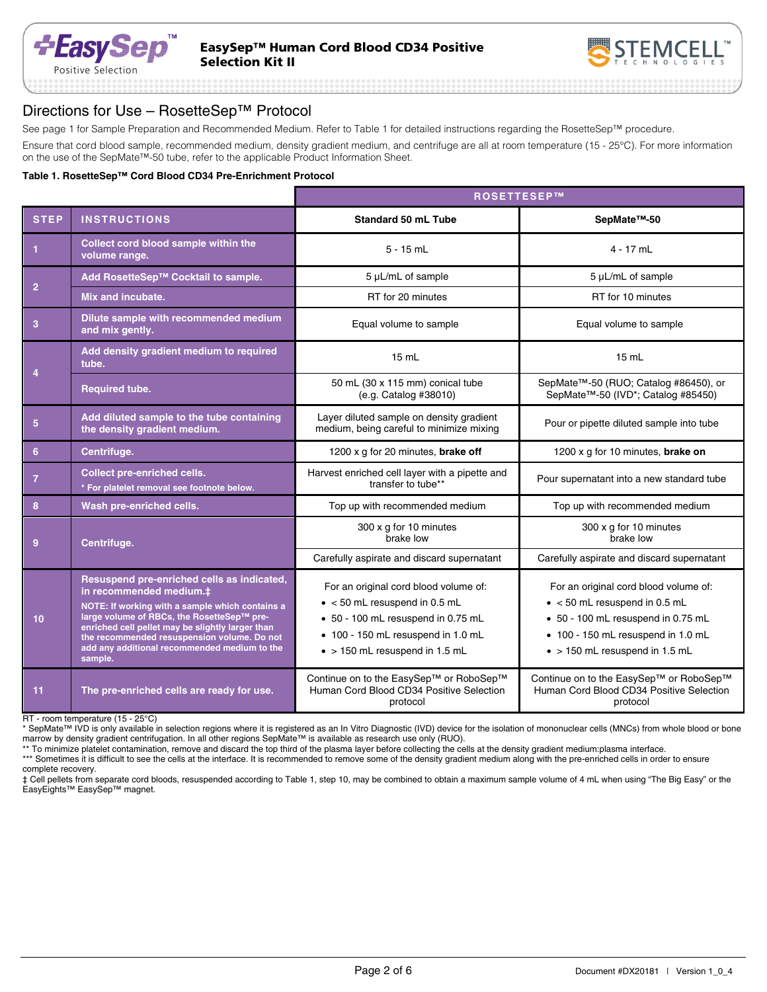

## Directions for Use – RosetteSep™ Protocol

See page 1 for Sample Preparation and Recommended Medium. Refer to Table 1 for detailed instructions regarding the RosetteSep™ procedure.

Ensure that cord blood sample, recommended medium, density gradient medium, and centrifuge are all at room temperature (15 - 25°C). For more information on the use of the SepMate™-50 tube, refer to the applicable Product Information Sheet.

#### **Table 1. RosetteSep™ Cord Blood CD34 Pre-Enrichment Protocol**

|                         |                                                                                                                                                                                                                                                                                                                                      | ROSETTESEP™                                                                                                                                                                                          |                                                                                                                                                                                                      |  |  |
|-------------------------|--------------------------------------------------------------------------------------------------------------------------------------------------------------------------------------------------------------------------------------------------------------------------------------------------------------------------------------|------------------------------------------------------------------------------------------------------------------------------------------------------------------------------------------------------|------------------------------------------------------------------------------------------------------------------------------------------------------------------------------------------------------|--|--|
| <b>STEP</b>             | <b>INSTRUCTIONS</b>                                                                                                                                                                                                                                                                                                                  | <b>Standard 50 mL Tube</b>                                                                                                                                                                           | SepMate <sup>™-50</sup>                                                                                                                                                                              |  |  |
| $\mathbf{1}$            | Collect cord blood sample within the<br>volume range.                                                                                                                                                                                                                                                                                | $5 - 15$ mL                                                                                                                                                                                          | $4 - 17$ mL                                                                                                                                                                                          |  |  |
| $\overline{2}$          | Add RosetteSep™ Cocktail to sample.                                                                                                                                                                                                                                                                                                  | 5 µL/mL of sample                                                                                                                                                                                    | 5 µL/mL of sample                                                                                                                                                                                    |  |  |
|                         | Mix and incubate.                                                                                                                                                                                                                                                                                                                    | RT for 20 minutes                                                                                                                                                                                    | RT for 10 minutes                                                                                                                                                                                    |  |  |
| $\overline{\mathbf{3}}$ | Dilute sample with recommended medium<br>and mix gently.                                                                                                                                                                                                                                                                             | Equal volume to sample                                                                                                                                                                               | Equal volume to sample                                                                                                                                                                               |  |  |
|                         | Add density gradient medium to required<br>15 mL<br>tube.                                                                                                                                                                                                                                                                            |                                                                                                                                                                                                      | 15 mL                                                                                                                                                                                                |  |  |
| 4                       | <b>Required tube.</b>                                                                                                                                                                                                                                                                                                                | 50 mL (30 x 115 mm) conical tube<br>(e.g. Catalog #38010)                                                                                                                                            | SepMate <sup>™-50</sup> (RUO; Catalog #86450), or<br>SepMate <sup>™-50</sup> (IVD <sup>*</sup> ; Catalog #85450)                                                                                     |  |  |
| $5\phantom{.0}$         | Add diluted sample to the tube containing<br>the density gradient medium.                                                                                                                                                                                                                                                            | Layer diluted sample on density gradient<br>medium, being careful to minimize mixing                                                                                                                 | Pour or pipette diluted sample into tube                                                                                                                                                             |  |  |
| 6                       | Centrifuge.                                                                                                                                                                                                                                                                                                                          | 1200 x g for 20 minutes, brake off                                                                                                                                                                   | 1200 x g for 10 minutes, brake on                                                                                                                                                                    |  |  |
| $\overline{7}$          | <b>Collect pre-enriched cells.</b><br>* For platelet removal see footnote below.                                                                                                                                                                                                                                                     | Harvest enriched cell layer with a pipette and<br>transfer to tube**                                                                                                                                 | Pour supernatant into a new standard tube                                                                                                                                                            |  |  |
| 8                       | Wash pre-enriched cells.                                                                                                                                                                                                                                                                                                             | Top up with recommended medium                                                                                                                                                                       | Top up with recommended medium                                                                                                                                                                       |  |  |
| 9                       | Centrifuge.                                                                                                                                                                                                                                                                                                                          | 300 x g for 10 minutes<br>brake low                                                                                                                                                                  | 300 x g for 10 minutes<br>brake low                                                                                                                                                                  |  |  |
|                         |                                                                                                                                                                                                                                                                                                                                      | Carefully aspirate and discard supernatant                                                                                                                                                           | Carefully aspirate and discard supernatant                                                                                                                                                           |  |  |
| 10                      | Resuspend pre-enriched cells as indicated,<br>in recommended medium.‡<br>NOTE: If working with a sample which contains a<br>large volume of RBCs, the RosetteSep™ pre-<br>enriched cell pellet may be slightly larger than<br>the recommended resuspension volume. Do not<br>add any additional recommended medium to the<br>sample. | For an original cord blood volume of:<br>$\bullet$ < 50 mL resuspend in 0.5 mL<br>• 50 - 100 mL resuspend in 0.75 mL<br>• 100 - 150 mL resuspend in 1.0 mL<br>$\bullet$ > 150 mL resuspend in 1.5 mL | For an original cord blood volume of:<br>$\bullet$ < 50 mL resuspend in 0.5 mL<br>• 50 - 100 mL resuspend in 0.75 mL<br>• 100 - 150 mL resuspend in 1.0 mL<br>$\bullet$ > 150 mL resuspend in 1.5 mL |  |  |
| 11                      | The pre-enriched cells are ready for use.                                                                                                                                                                                                                                                                                            | Continue on to the EasySep™ or RoboSep™<br>Human Cord Blood CD34 Positive Selection<br>protocol                                                                                                      | Continue on to the EasySep™ or RoboSep™<br>Human Cord Blood CD34 Positive Selection<br>protocol                                                                                                      |  |  |

RT - room temperature (15 - 25°C)

\* SepMate™ IVD is only available in selection regions where it is registered as an In Vitro Diagnostic (IVD) device for the isolation of mononuclear cells (MNCs) from whole blood or bone marrow by density gradient centrifugation. In all other regions SepMate™ is available as research use only (RUO).

\*\* To minimize platelet contamination, remove and discard the top third of the plasma layer before collecting the cells at the density gradient medium:plasma interface.

\*\*\* Sometimes it is difficult to see the cells at the interface. It is recommended to remove some of the density gradient medium along with the pre-enriched cells in order to ensure complete recovery.

‡ Cell pellets from separate cord bloods, resuspended according to Table 1, step 10, may be combined to obtain a maximum sample volume of 4 mL when using "The Big Easy" or the EasyEights™ EasySep™ magnet.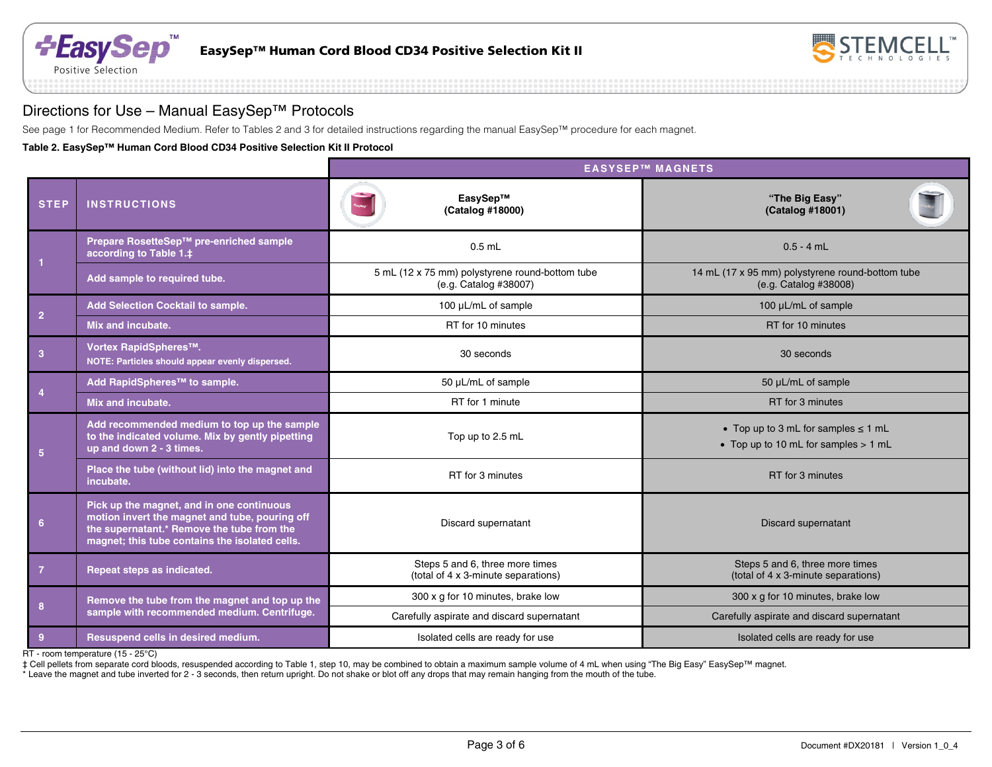



## Directions for Use – Manual EasySep™ Protocols

See page 1 for Recommended Medium. Refer to Tables 2 and 3 for detailed instructions regarding the manual EasySep™ procedure for each magnet.

**Table 2. EasySep™ Human Cord Blood CD34 Positive Selection Kit II Protocol**

|                 |                                                                                                                                                                                             | <b>EASYSEP™ MAGNETS</b>                                                  |                                                                                  |  |  |
|-----------------|---------------------------------------------------------------------------------------------------------------------------------------------------------------------------------------------|--------------------------------------------------------------------------|----------------------------------------------------------------------------------|--|--|
| <b>STEP</b>     | <b>INSTRUCTIONS</b>                                                                                                                                                                         | EasySep™<br>(Catalog #18000)                                             | "The Big Easy"<br>(Catalog #18001)                                               |  |  |
|                 | Prepare RosetteSep™ pre-enriched sample<br>according to Table 1.‡                                                                                                                           | $0.5$ mL                                                                 | $0.5 - 4$ mL                                                                     |  |  |
|                 | Add sample to required tube.                                                                                                                                                                | 5 mL (12 x 75 mm) polystyrene round-bottom tube<br>(e.g. Catalog #38007) | 14 mL (17 x 95 mm) polystyrene round-bottom tube<br>(e.g. Catalog #38008)        |  |  |
|                 | <b>Add Selection Cocktail to sample.</b>                                                                                                                                                    | 100 µL/mL of sample                                                      | 100 µL/mL of sample                                                              |  |  |
| $\overline{2}$  | Mix and incubate.                                                                                                                                                                           | RT for 10 minutes                                                        | RT for 10 minutes                                                                |  |  |
| $\overline{3}$  | Vortex RapidSpheres™.<br>NOTE: Particles should appear evenly dispersed.                                                                                                                    | 30 seconds                                                               | 30 seconds                                                                       |  |  |
|                 | Add RapidSpheres™ to sample.                                                                                                                                                                | 50 µL/mL of sample                                                       | 50 µL/mL of sample                                                               |  |  |
| $\overline{4}$  | Mix and incubate.                                                                                                                                                                           | RT for 1 minute                                                          | RT for 3 minutes                                                                 |  |  |
| 5               | Add recommended medium to top up the sample<br>to the indicated volume. Mix by gently pipetting<br>up and down 2 - 3 times.                                                                 | Top up to 2.5 mL                                                         | • Top up to 3 mL for samples $\leq$ 1 mL<br>• Top up to 10 mL for samples > 1 mL |  |  |
|                 | Place the tube (without lid) into the magnet and<br>incubate.                                                                                                                               | RT for 3 minutes                                                         | RT for 3 minutes                                                                 |  |  |
| $6\phantom{1}6$ | Pick up the magnet, and in one continuous<br>motion invert the magnet and tube, pouring off<br>the supernatant.* Remove the tube from the<br>magnet; this tube contains the isolated cells. | Discard supernatant<br>Discard supernatant                               |                                                                                  |  |  |
| $\overline{7}$  | Repeat steps as indicated.                                                                                                                                                                  | Steps 5 and 6, three more times<br>(total of 4 x 3-minute separations)   | Steps 5 and 6, three more times<br>(total of 4 x 3-minute separations)           |  |  |
|                 | Remove the tube from the magnet and top up the                                                                                                                                              | 300 x g for 10 minutes, brake low                                        | 300 x g for 10 minutes, brake low                                                |  |  |
| 8               | sample with recommended medium. Centrifuge.                                                                                                                                                 | Carefully aspirate and discard supernatant                               | Carefully aspirate and discard supernatant                                       |  |  |
| 9               | Resuspend cells in desired medium.                                                                                                                                                          | Isolated cells are ready for use                                         | Isolated cells are ready for use                                                 |  |  |

RT - room temperature (15 - 25°C)

‡ Cell pellets from separate cord bloods, resuspended according to Table 1, step 10, may be combined to obtain a maximum sample volume of 4 mL when using "The Big Easy" EasySep™ magnet.

\* Leave the magnet and tube inverted for 2 - 3 seconds, then return upright. Do not shake or blot off any drops that may remain hanging from the mouth of the tube.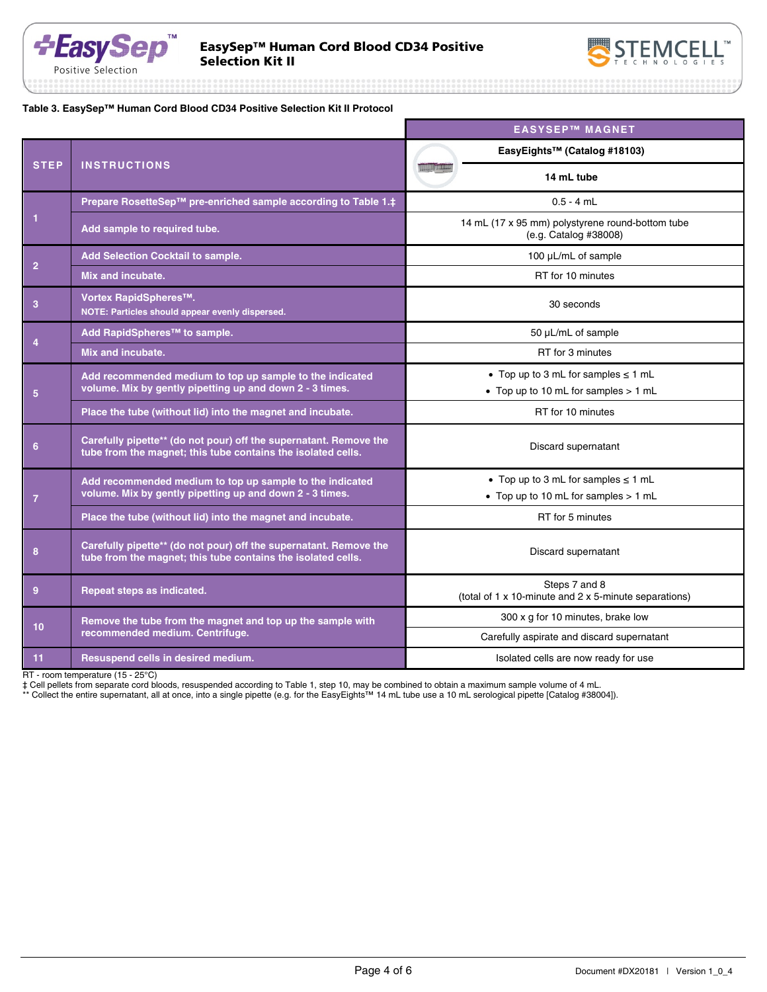

EasySep™ Human Cord Blood CD34 Positive



**Table 3. EasySep™ Human Cord Blood CD34 Positive Selection Kit II Protocol**

|                 |                                                                                                                                   | <b>EASYSEP™ MAGNET</b>                                                 |                                                                                  |
|-----------------|-----------------------------------------------------------------------------------------------------------------------------------|------------------------------------------------------------------------|----------------------------------------------------------------------------------|
| <b>STEP</b>     |                                                                                                                                   |                                                                        | EasyEights™ (Catalog #18103)                                                     |
|                 | <b>INSTRUCTIONS</b>                                                                                                               |                                                                        | 14 mL tube                                                                       |
| $\mathbf{1}$    | Prepare RosetteSep™ pre-enriched sample according to Table 1.‡                                                                    |                                                                        | $0.5 - 4$ mL                                                                     |
|                 | Add sample to required tube.                                                                                                      |                                                                        | 14 mL (17 x 95 mm) polystyrene round-bottom tube<br>(e.g. Catalog #38008)        |
|                 | Add Selection Cocktail to sample.                                                                                                 | 100 µL/mL of sample                                                    |                                                                                  |
| $\overline{2}$  | Mix and incubate.                                                                                                                 | RT for 10 minutes                                                      |                                                                                  |
| 3               | Vortex RapidSpheres <sup>™</sup> .<br>NOTE: Particles should appear evenly dispersed.                                             |                                                                        | 30 seconds                                                                       |
|                 | Add RapidSpheres <sup>™</sup> to sample.                                                                                          |                                                                        | 50 µL/mL of sample                                                               |
| 4               | Mix and incubate.                                                                                                                 | RT for 3 minutes                                                       |                                                                                  |
| 5               | Add recommended medium to top up sample to the indicated<br>volume. Mix by gently pipetting up and down 2 - 3 times.              |                                                                        | • Top up to 3 mL for samples $\leq$ 1 mL<br>• Top up to 10 mL for samples > 1 mL |
|                 | Place the tube (without lid) into the magnet and incubate.                                                                        |                                                                        | RT for 10 minutes                                                                |
| $6\phantom{1}$  | Carefully pipette** (do not pour) off the supernatant. Remove the<br>tube from the magnet; this tube contains the isolated cells. | Discard supernatant                                                    |                                                                                  |
| $\overline{7}$  | Add recommended medium to top up sample to the indicated<br>volume. Mix by gently pipetting up and down 2 - 3 times.              |                                                                        | • Top up to 3 mL for samples $\leq$ 1 mL<br>• Top up to 10 mL for samples > 1 mL |
|                 | Place the tube (without lid) into the magnet and incubate.                                                                        |                                                                        | RT for 5 minutes                                                                 |
| 8               | Carefully pipette** (do not pour) off the supernatant. Remove the<br>tube from the magnet; this tube contains the isolated cells. | Discard supernatant                                                    |                                                                                  |
| 9               | Repeat steps as indicated.                                                                                                        | Steps 7 and 8<br>(total of 1 x 10-minute and 2 x 5-minute separations) |                                                                                  |
| 10 <sup>1</sup> | Remove the tube from the magnet and top up the sample with                                                                        |                                                                        | 300 x g for 10 minutes, brake low                                                |
|                 | recommended medium. Centrifuge.                                                                                                   |                                                                        | Carefully aspirate and discard supernatant                                       |
| 11              | Resuspend cells in desired medium.                                                                                                |                                                                        | Isolated cells are now ready for use                                             |

RT - room temperature (15 - 25°C)

‡ Cell pellets from separate cord bloods, resuspended according to Table 1, step 10, may be combined to obtain a maximum sample volume of 4 mL.

\*\* Collect the entire supernatant, all at once, into a single pipette (e.g. for the EasyEights™ 14 mL tube use a 10 mL serological pipette [Catalog #38004]).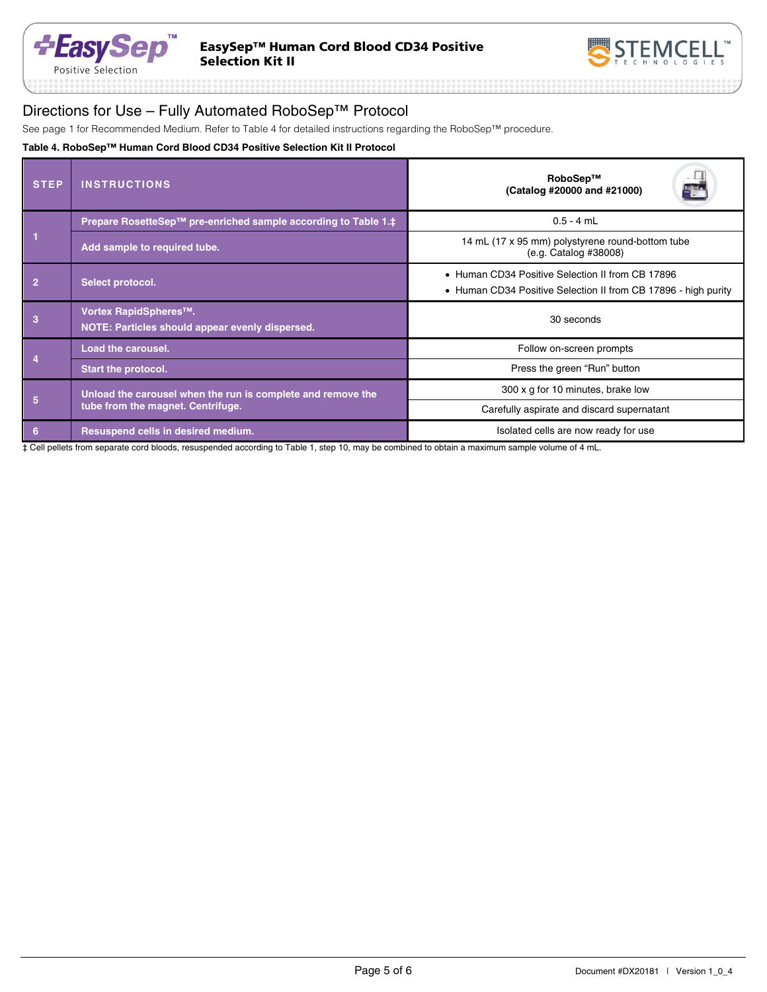



# Directions for Use – Fully Automated RoboSep™ Protocol

See page 1 for Recommended Medium. Refer to Table 4 for detailed instructions regarding the RoboSep™ procedure.

### **Table 4. RoboSep™ Human Cord Blood CD34 Positive Selection Kit II Protocol**

| <b>STEP</b>    | <b>INSTRUCTIONS</b>                                                                              | RoboSep™<br>E SA<br>(Catalog #20000 and #21000)                                                                    |  |  |
|----------------|--------------------------------------------------------------------------------------------------|--------------------------------------------------------------------------------------------------------------------|--|--|
|                | Prepare RosetteSep™ pre-enriched sample according to Table 1.‡                                   | $0.5 - 4$ mL                                                                                                       |  |  |
|                | Add sample to required tube.                                                                     | 14 mL (17 x 95 mm) polystyrene round-bottom tube<br>(e.g. Catalog #38008)                                          |  |  |
| $\overline{2}$ | Select protocol.                                                                                 | • Human CD34 Positive Selection II from CB 17896<br>• Human CD34 Positive Selection II from CB 17896 - high purity |  |  |
| 3              | Vortex RapidSpheres <sup>™</sup> .<br>NOTE: Particles should appear evenly dispersed.            | 30 seconds                                                                                                         |  |  |
|                | Load the carousel.                                                                               | Follow on-screen prompts                                                                                           |  |  |
|                | <b>Start the protocol.</b>                                                                       | Press the green "Run" button                                                                                       |  |  |
| 5              | Unload the carousel when the run is complete and remove the<br>tube from the magnet. Centrifuge. | 300 x g for 10 minutes, brake low                                                                                  |  |  |
|                |                                                                                                  | Carefully aspirate and discard supernatant                                                                         |  |  |
| 6              | Resuspend cells in desired medium.                                                               | Isolated cells are now ready for use                                                                               |  |  |

‡ Cell pellets from separate cord bloods, resuspended according to Table 1, step 10, may be combined to obtain a maximum sample volume of 4 mL.